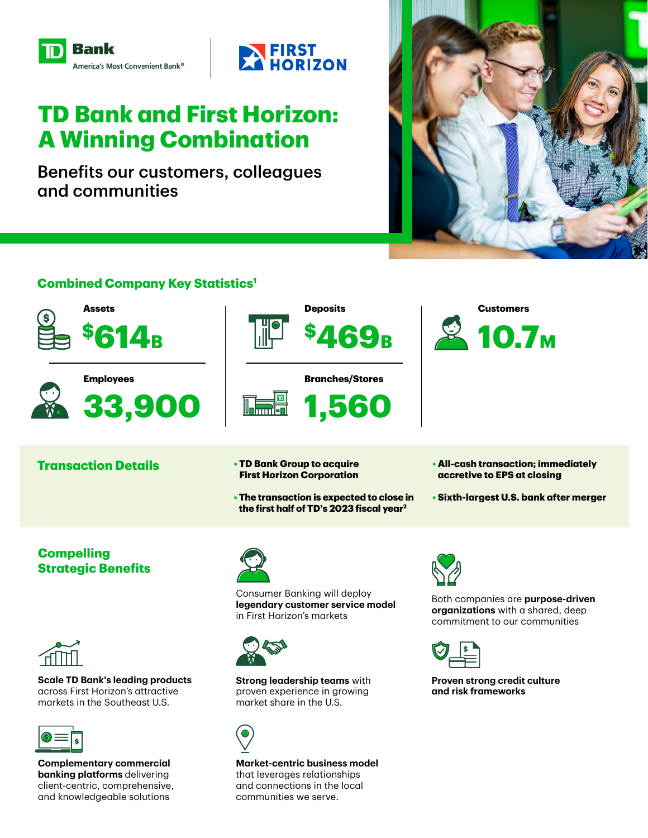



# **TD Bank and First Horizon: A Winning Combination**

Benefits our customers, colleagues and communities



# **Combined Company Key Statistics1**



**Market-centric business model**  that leverages relationships and connections in the local communities we serve.

**Complementary commercial banking platforms** delivering client-centric, comprehensive, and knowledgeable solutions